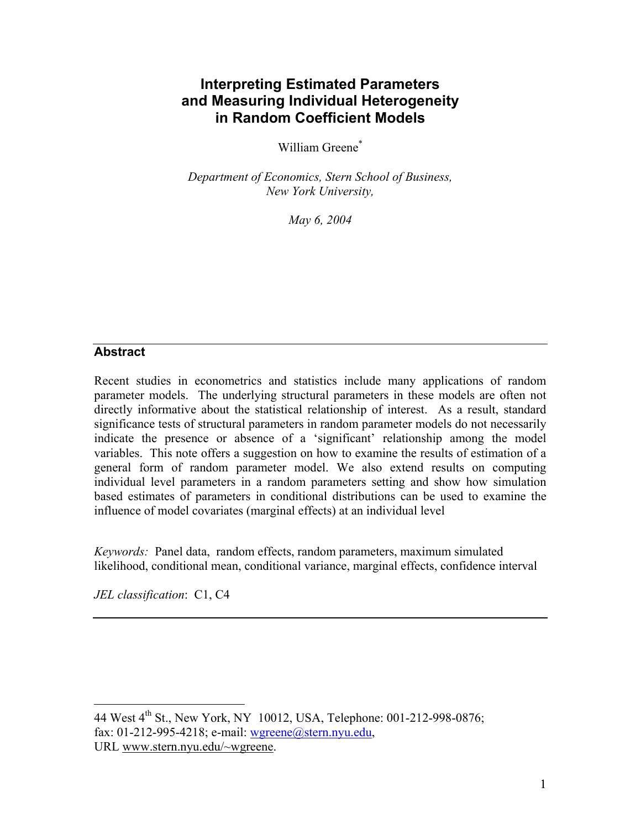# **Interpreting Estimated Parameters and Measuring Individual Heterogeneity in Random Coefficient Models**

William Greene<sup>\*</sup>

*Department of Economics, Stern School of Business, New York University,* 

*May 6, 2004* 

### **Abstract**

Recent studies in econometrics and statistics include many applications of random parameter models. The underlying structural parameters in these models are often not directly informative about the statistical relationship of interest. As a result, standard significance tests of structural parameters in random parameter models do not necessarily indicate the presence or absence of a 'significant' relationship among the model variables. This note offers a suggestion on how to examine the results of estimation of a general form of random parameter model. We also extend results on computing individual level parameters in a random parameters setting and show how simulation based estimates of parameters in conditional distributions can be used to examine the influence of model covariates (marginal effects) at an individual level

*Keywords:* Panel data, random effects, random parameters, maximum simulated likelihood, conditional mean, conditional variance, marginal effects, confidence interval

*JEL classification*: C1, C4

 $\overline{a}$ 

<span id="page-0-0"></span><sup>44</sup> West 4<sup>th</sup> St., New York, NY 10012, USA, Telephone: 001-212-998-0876; fax: 01-212-995-4218; e-mail: [wgreene@stern.nyu.edu](mailto:wgreene@stern.nyu.edu), URL www.stern.nyu.edu/~wgreene.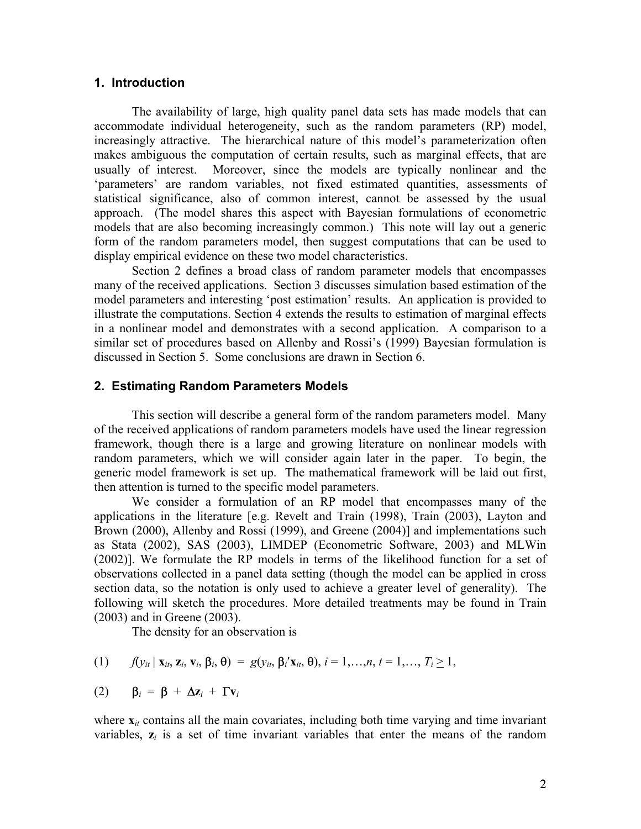#### **1. Introduction**

The availability of large, high quality panel data sets has made models that can accommodate individual heterogeneity, such as the random parameters (RP) model, increasingly attractive. The hierarchical nature of this model's parameterization often makes ambiguous the computation of certain results, such as marginal effects, that are usually of interest. Moreover, since the models are typically nonlinear and the 'parameters' are random variables, not fixed estimated quantities, assessments of statistical significance, also of common interest, cannot be assessed by the usual approach. (The model shares this aspect with Bayesian formulations of econometric models that are also becoming increasingly common.) This note will lay out a generic form of the random parameters model, then suggest computations that can be used to display empirical evidence on these two model characteristics.

Section 2 defines a broad class of random parameter models that encompasses many of the received applications. Section 3 discusses simulation based estimation of the model parameters and interesting 'post estimation' results. An application is provided to illustrate the computations. Section 4 extends the results to estimation of marginal effects in a nonlinear model and demonstrates with a second application. A comparison to a similar set of procedures based on Allenby and Rossi's (1999) Bayesian formulation is discussed in Section 5. Some conclusions are drawn in Section 6.

#### **2. Estimating Random Parameters Models**

This section will describe a general form of the random parameters model. Many of the received applications of random parameters models have used the linear regression framework, though there is a large and growing literature on nonlinear models with random parameters, which we will consider again later in the paper. To begin, the generic model framework is set up. The mathematical framework will be laid out first, then attention is turned to the specific model parameters.

We consider a formulation of an RP model that encompasses many of the applications in the literature [e.g. Revelt and Train (1998), Train (2003), Layton and Brown (2000), Allenby and Rossi (1999), and Greene (2004)] and implementations such as Stata (2002), SAS (2003), LIMDEP (Econometric Software, 2003) and MLWin (2002)]. We formulate the RP models in terms of the likelihood function for a set of observations collected in a panel data setting (though the model can be applied in cross section data, so the notation is only used to achieve a greater level of generality). The following will sketch the procedures. More detailed treatments may be found in Train (2003) and in Greene (2003).

The density for an observation is

(1) 
$$
f(y_{it} | \mathbf{x}_{it}, \mathbf{z}_{i}, \mathbf{v}_{i}, \boldsymbol{\beta}_{i}, \boldsymbol{\theta}) = g(y_{it}, \boldsymbol{\beta}_{i} \mathbf{x}_{it}, \boldsymbol{\theta}), i = 1, ..., n, t = 1, ..., T_{i} \ge 1,
$$

$$
(2) \qquad \beta_i = \beta + \Delta z_i + \Gamma v_i
$$

where  $\mathbf{x}_{it}$  contains all the main covariates, including both time varying and time invariant variables,  $z_i$  is a set of time invariant variables that enter the means of the random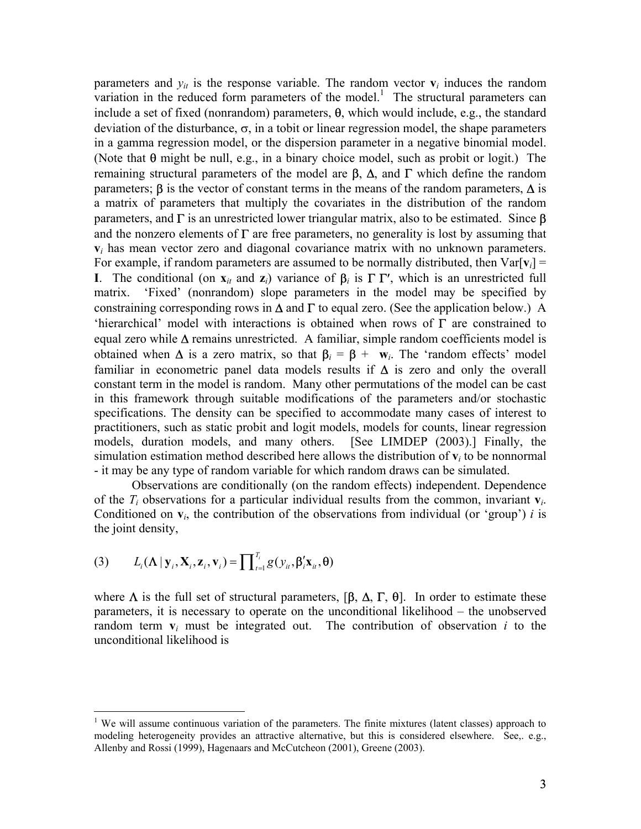parameters and  $y_{it}$  is the response variable. The random vector  $\mathbf{v}_i$  induces the random variation in the reduced form parameters of the model.<sup>1</sup> The structural parameters can include a set of fixed (nonrandom) parameters, θ, which would include, e.g., the standard deviation of the disturbance,  $\sigma$ , in a tobit or linear regression model, the shape parameters in a gamma regression model, or the dispersion parameter in a negative binomial model. (Note that  $\theta$  might be null, e.g., in a binary choice model, such as probit or logit.) The remaining structural parameters of the model are  $\beta$ ,  $\Delta$ , and Γ which define the random parameters;  $\beta$  is the vector of constant terms in the means of the random parameters,  $\Delta$  is a matrix of parameters that multiply the covariates in the distribution of the random parameters, and  $\Gamma$  is an unrestricted lower triangular matrix, also to be estimated. Since  $\beta$ and the nonzero elements of  $\Gamma$  are free parameters, no generality is lost by assuming that **v***i* has mean vector zero and diagonal covariance matrix with no unknown parameters. For example, if random parameters are assumed to be normally distributed, then  $Var[v_i]$  = **I**. The conditional (on  $\mathbf{x}_{it}$  and  $\mathbf{z}_i$ ) variance of  $\beta_i$  is  $\Gamma \Gamma'$ , which is an unrestricted full matrix. 'Fixed' (nonrandom) slope parameters in the model may be specified by constraining corresponding rows in  $\Delta$  and  $\Gamma$  to equal zero. (See the application below.) A 'hierarchical' model with interactions is obtained when rows of Γ are constrained to equal zero while  $\Delta$  remains unrestricted. A familiar, simple random coefficients model is obtained when  $\Delta$  is a zero matrix, so that  $\beta$ <sub>*i*</sub> =  $\beta$  + **w**<sub>*i*</sub>. The 'random effects' model familiar in econometric panel data models results if  $\Delta$  is zero and only the overall constant term in the model is random. Many other permutations of the model can be cast in this framework through suitable modifications of the parameters and/or stochastic specifications. The density can be specified to accommodate many cases of interest to practitioners, such as static probit and logit models, models for counts, linear regression models, duration models, and many others. [See LIMDEP (2003).] Finally, the simulation estimation method described here allows the distribution of  $\bf{v}$ <sub>*i*</sub> to be nonnormal - it may be any type of random variable for which random draws can be simulated.

Observations are conditionally (on the random effects) independent. Dependence of the  $T_i$  observations for a particular individual results from the common, invariant  $\mathbf{v}_i$ . Conditioned on  $v_i$ , the contribution of the observations from individual (or 'group') *i* is the joint density,

$$
(3) \qquad L_i(\mathbf{\Lambda} \,|\, \mathbf{y}_i, \mathbf{X}_i, \mathbf{z}_i, \mathbf{v}_i) = \prod_{i=1}^{T_i} g(y_{ii}, \boldsymbol{\beta}_i' \mathbf{x}_{ii}, \boldsymbol{\theta})
$$

1

where  $\Lambda$  is the full set of structural parameters,  $[\beta, \Delta, \Gamma, \theta]$ . In order to estimate these parameters, it is necessary to operate on the unconditional likelihood – the unobserved random term  $v_i$  must be integrated out. The contribution of observation  $i$  to the unconditional likelihood is

<span id="page-2-0"></span><sup>&</sup>lt;sup>1</sup> We will assume continuous variation of the parameters. The finite mixtures (latent classes) approach to modeling heterogeneity provides an attractive alternative, but this is considered elsewhere. See,. e.g., Allenby and Rossi (1999), Hagenaars and McCutcheon (2001), Greene (2003).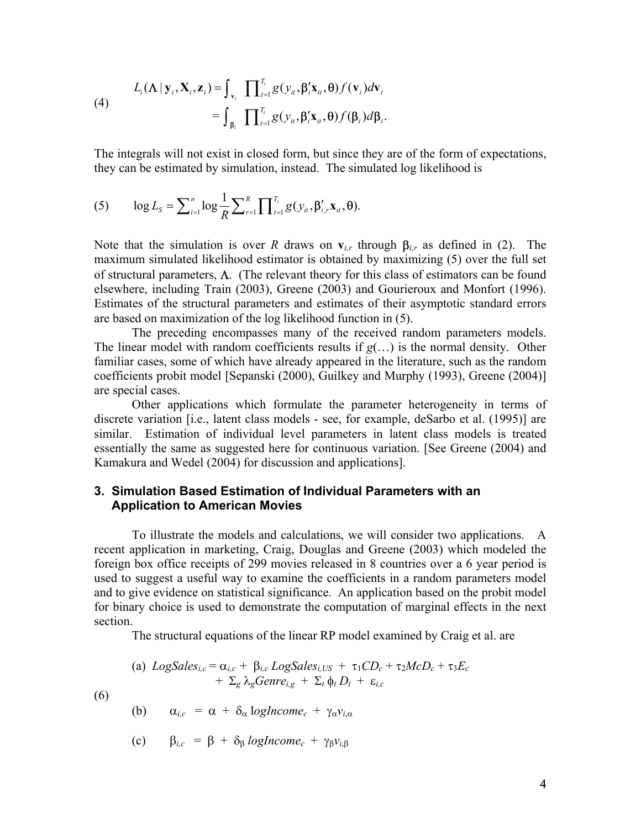(4)  

$$
L_i(\mathbf{\Lambda} \mid \mathbf{y}_i, \mathbf{X}_i, \mathbf{z}_i) = \int_{\mathbf{v}_i} \prod_{t=1}^{T_i} g(y_{it}, \beta_i' \mathbf{x}_{it}, \theta) f(\mathbf{v}_i) d\mathbf{v}_i
$$

$$
= \int_{\beta_i} \prod_{t=1}^{T_i} g(y_{it}, \beta_i' \mathbf{x}_{it}, \theta) f(\beta_i) d\beta_i.
$$

The integrals will not exist in closed form, but since they are of the form of expectations, they can be estimated by simulation, instead. The simulated log likelihood is

(5) 
$$
\log L_{S} = \sum_{i=1}^{n} \log \frac{1}{R} \sum_{r=1}^{R} \prod_{i=1}^{T_{i}} g(y_{i}, \beta'_{i,r} \mathbf{x}_{i}, \boldsymbol{\theta}).
$$

Note that the simulation is over *R* draws on  $v_{i,r}$  through  $\beta_{i,r}$  as defined in (2). The maximum simulated likelihood estimator is obtained by maximizing (5) over the full set of structural parameters, Λ. (The relevant theory for this class of estimators can be found elsewhere, including Train (2003), Greene (2003) and Gourieroux and Monfort (1996). Estimates of the structural parameters and estimates of their asymptotic standard errors are based on maximization of the log likelihood function in (5).

The preceding encompasses many of the received random parameters models. The linear model with random coefficients results if *g*(…) is the normal density. Other familiar cases, some of which have already appeared in the literature, such as the random coefficients probit model [Sepanski (2000), Guilkey and Murphy (1993), Greene (2004)] are special cases.

Other applications which formulate the parameter heterogeneity in terms of discrete variation [i.e., latent class models - see, for example, deSarbo et al. (1995)] are similar. Estimation of individual level parameters in latent class models is treated essentially the same as suggested here for continuous variation. [See Greene (2004) and Kamakura and Wedel (2004) for discussion and applications].

#### **3. Simulation Based Estimation of Individual Parameters with an Application to American Movies**

To illustrate the models and calculations, we will consider two applications. A recent application in marketing, Craig, Douglas and Greene (2003) which modeled the foreign box office receipts of 299 movies released in 8 countries over a 6 year period is used to suggest a useful way to examine the coefficients in a random parameters model and to give evidence on statistical significance. An application based on the probit model for binary choice is used to demonstrate the computation of marginal effects in the next section.

The structural equations of the linear RP model examined by Craig et al. are

(a) LogSales<sub>i,c</sub> = 
$$
\alpha_{i,c}
$$
 +  $\beta_{i,c}$  LogSales<sub>i,US</sub> +  $\tau_1CD_c$  +  $\tau_2McD_c$  +  $\tau_3E_c$   
+  $\Sigma_g \lambda_g$ Genre<sub>i,g</sub> +  $\Sigma_t \phi_t D_t$  +  $\varepsilon_{i,c}$ 

(6)

(b) 
$$
\alpha_{i,c} = \alpha + \delta_{\alpha} \log Income_c + \gamma_{\alpha} v_{i,\alpha}
$$

(c) 
$$
\beta_{i,c} = \beta + \delta_{\beta} \log Income_c + \gamma_{\beta} v_{i,\beta}
$$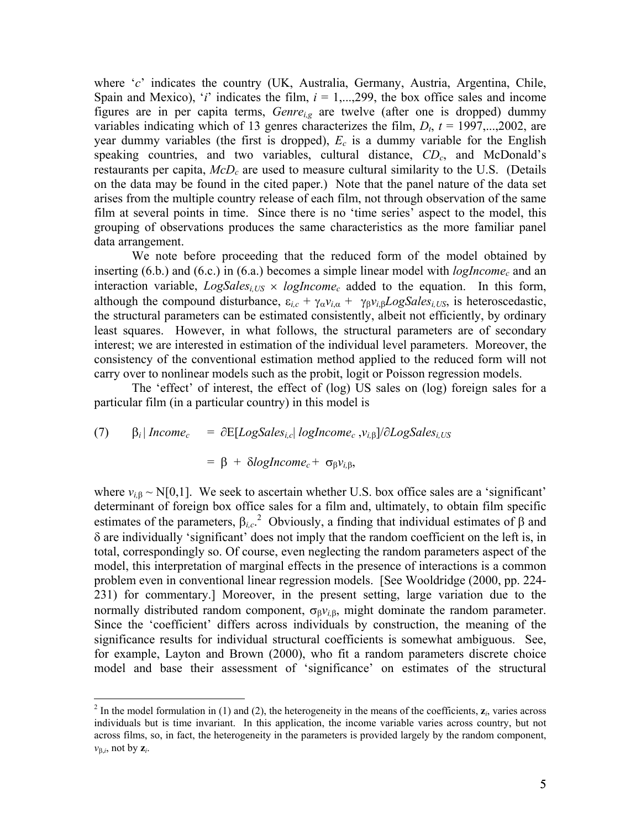where '*c*' indicates the country (UK, Australia, Germany, Austria, Argentina, Chile, Spain and Mexico), '*i*' indicates the film,  $i = 1,...,299$ , the box office sales and income figures are in per capita terms, *Genrei,g* are twelve (after one is dropped) dummy variables indicating which of 13 genres characterizes the film,  $D_t$ ,  $t = 1997,...,2002$ , are year dummy variables (the first is dropped),  $E_c$  is a dummy variable for the English speaking countries, and two variables, cultural distance,  $CD_c$ , and McDonald's restaurants per capita,  $McD<sub>c</sub>$  are used to measure cultural similarity to the U.S. (Details on the data may be found in the cited paper.) Note that the panel nature of the data set arises from the multiple country release of each film, not through observation of the same film at several points in time. Since there is no 'time series' aspect to the model, this grouping of observations produces the same characteristics as the more familiar panel data arrangement.

We note before proceeding that the reduced form of the model obtained by inserting  $(6.b.)$  and  $(6.c.)$  in  $(6.a.)$  becomes a simple linear model with  $logIncome<sub>c</sub>$  and an interaction variable,  $LogSales_{i,US} \times logIncome_c$  added to the equation. In this form, although the compound disturbance,  $\varepsilon_{i,c} + \gamma_{\alpha}v_{i,\alpha} + \gamma_{\beta}v_{i,\beta}LogSales_{i,US}$ , is heteroscedastic, the structural parameters can be estimated consistently, albeit not efficiently, by ordinary least squares. However, in what follows, the structural parameters are of secondary interest; we are interested in estimation of the individual level parameters. Moreover, the consistency of the conventional estimation method applied to the reduced form will not carry over to nonlinear models such as the probit, logit or Poisson regression models.

The 'effect' of interest, the effect of (log) US sales on (log) foreign sales for a particular film (in a particular country) in this model is

(7) 
$$
\beta_i |
$$
 Income<sub>c</sub> =  $\partial E[Log Sales_{i,c} | log Income_c, v_{i,\beta}] / \partial Log Sales_{i,US}$ 

 $\overline{a}$ 

$$
= \beta + \delta logIncome_c + \sigma_{\beta}v_{i,\beta},
$$

where  $v_{i,\beta} \sim N[0,1]$ . We seek to ascertain whether U.S. box office sales are a 'significant' determinant of foreign box office sales for a film and, ultimately, to obtain film specific estimates of the parameters,  $\beta_{i,c}$ <sup>[2](#page-4-0)</sup> Obviously, a finding that individual estimates of  $\beta$  and δ are individually 'significant' does not imply that the random coefficient on the left is, in total, correspondingly so. Of course, even neglecting the random parameters aspect of the model, this interpretation of marginal effects in the presence of interactions is a common problem even in conventional linear regression models. [See Wooldridge (2000, pp. 224- 231) for commentary.] Moreover, in the present setting, large variation due to the normally distributed random component,  $\sigma_{\beta}v_{i,\beta}$ , might dominate the random parameter. Since the 'coefficient' differs across individuals by construction, the meaning of the significance results for individual structural coefficients is somewhat ambiguous. See, for example, Layton and Brown (2000), who fit a random parameters discrete choice model and base their assessment of 'significance' on estimates of the structural

<span id="page-4-0"></span> $^2$  In the model formulation in (1) and (2), the heterogeneity in the means of the coefficients,  $z_i$ , varies across individuals but is time invariant. In this application, the income variable varies across country, but not across films, so, in fact, the heterogeneity in the parameters is provided largely by the random component, *v*<sup>β</sup>,*i*, not by **z***i*.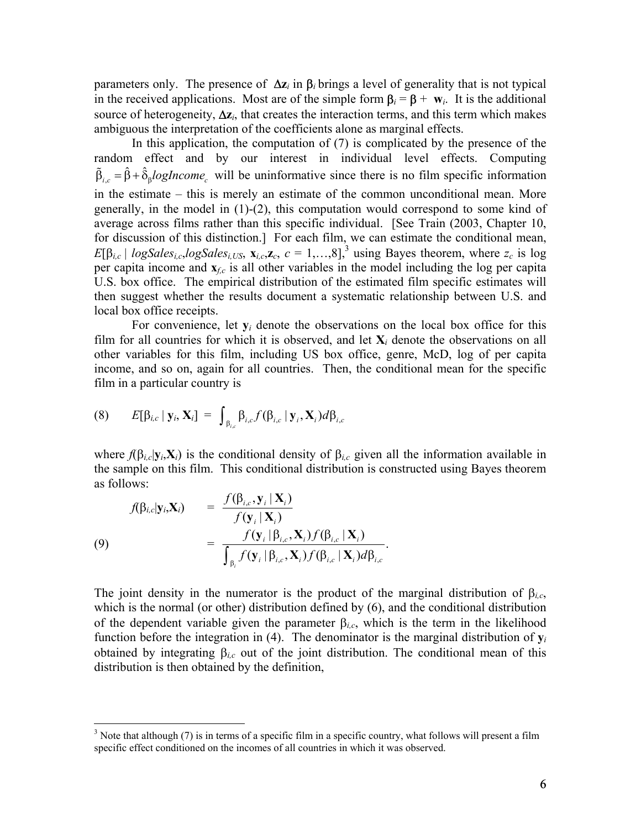parameters only. The presence of ∆**z***i* in β*i* brings a level of generality that is not typical in the received applications. Most are of the simple form  $\beta_i = \beta + w_i$ . It is the additional source of heterogeneity, ∆**z***i*, that creates the interaction terms, and this term which makes ambiguous the interpretation of the coefficients alone as marginal effects.

In this application, the computation of (7) is complicated by the presence of the random effect and by our interest in individual level effects. Computing  $\tilde{\beta}_{i,c} = \hat{\beta} + \hat{\delta}_{\beta} log Income_c$  will be uninformative since there is no film specific information in the estimate – this is merely an estimate of the common unconditional mean. More generally, in the model in  $(1)-(2)$ , this computation would correspond to some kind of average across films rather than this specific individual. [See Train (2003, Chapter 10, for discussion of this distinction.] For each film, we can estimate the conditional mean,  $E[\beta_{i,c} | logSales_{i,c} \logSales_{i,US}$ ,  $\mathbf{x}_{i,c}, \mathbf{z}_c$ ,  $c = 1,...,8$ ]<sup>[3](#page-5-0)</sup> using Bayes theorem, where  $z_c$  is log per capita income and **x***f,c* is all other variables in the model including the log per capita U.S. box office. The empirical distribution of the estimated film specific estimates will then suggest whether the results document a systematic relationship between U.S. and local box office receipts.

For convenience, let  $y_i$  denote the observations on the local box office for this film for all countries for which it is observed, and let  $X_i$  denote the observations on all other variables for this film, including US box office, genre, McD, log of per capita income, and so on, again for all countries. Then, the conditional mean for the specific film in a particular country is

$$
(8) \qquad E[\beta_{i,c} \mid \mathbf{y}_i, \mathbf{X}_i] = \int_{\beta_{i,c}} \beta_{i,c} f(\beta_{i,c} \mid \mathbf{y}_i, \mathbf{X}_i) d\beta_{i,c}
$$

where  $f(\beta_{i,c}|\mathbf{y}_i,\mathbf{X}_i)$  is the conditional density of  $\beta_{i,c}$  given all the information available in the sample on this film. This conditional distribution is constructed using Bayes theorem as follows: *f* β **y X** )

$$
f(\beta_{i,c}|\mathbf{y}_i,\mathbf{X}_i) = \frac{f(\beta_{i,c}, \mathbf{y}_i | \mathbf{X}_i)}{f(\mathbf{y}_i | \mathbf{X}_i)} = \frac{f(\beta_{i,c}, \mathbf{y}_i | \mathbf{X}_i)}{\int_{\beta_i} f(\mathbf{y}_i | \beta_{i,c}, \mathbf{X}_i) f(\beta_{i,c} | \mathbf{X}_i) d\beta_{i,c}}.
$$
\n(9)

 $\overline{a}$ 

The joint density in the numerator is the product of the marginal distribution of  $\beta_{i,c}$ , which is the normal (or other) distribution defined by (6), and the conditional distribution of the dependent variable given the parameter  $\beta_{i,c}$ , which is the term in the likelihood function before the integration in (4). The denominator is the marginal distribution of  $y_i$ obtained by integrating  $\beta_{i,c}$  out of the joint distribution. The conditional mean of this distribution is then obtained by the definition,

<span id="page-5-0"></span> $3$  Note that although (7) is in terms of a specific film in a specific country, what follows will present a film specific effect conditioned on the incomes of all countries in which it was observed.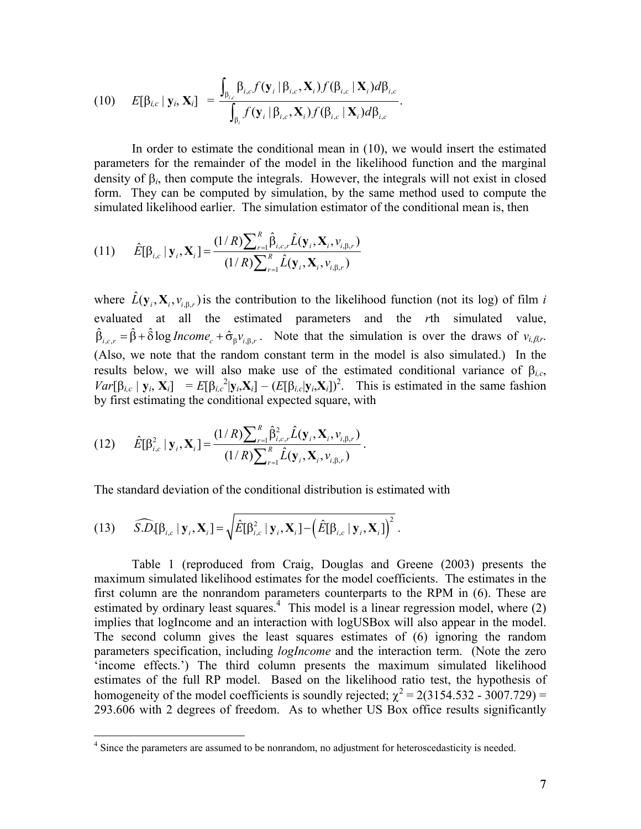$$
(10) \t E[\beta_{i,c} | \mathbf{y}_i, \mathbf{X}_i] = \frac{\int_{\beta_{i,c}} \beta_{i,c} f(\mathbf{y}_i | \beta_{i,c}, \mathbf{X}_i) f(\beta_{i,c} | \mathbf{X}_i) d\beta_{i,c}}{\int_{\beta_i} f(\mathbf{y}_i | \beta_{i,c}, \mathbf{X}_i) f(\beta_{i,c} | \mathbf{X}_i) d\beta_{i,c}}.
$$

In order to estimate the conditional mean in (10), we would insert the estimated parameters for the remainder of the model in the likelihood function and the marginal density of β*i*, then compute the integrals. However, the integrals will not exist in closed form. They can be computed by simulation, by the same method used to compute the simulated likelihood earlier. The simulation estimator of the conditional mean is, then

(11) 
$$
\hat{E}[\beta_{i,c} | \mathbf{y}_i, \mathbf{X}_i] = \frac{(1/R)\sum_{r=1}^R \hat{\beta}_{i,c,r} \hat{L}(\mathbf{y}_i, \mathbf{X}_i, \nu_{i,\beta,r})}{(1/R)\sum_{r=1}^R \hat{L}(\mathbf{y}_i, \mathbf{X}_i, \nu_{i,\beta,r})}
$$

where  $\hat{L}(\mathbf{y}_i, \mathbf{X}_i, v_{i, \beta, r})$  is the contribution to the likelihood function (not its log) of film *i* evaluated at all the estimated parameters and the *r*th simulated value,  $\hat{\beta}_{i,c,r} = \hat{\beta} + \hat{\delta} \log Income_c + \hat{\sigma}_{\beta}v_{i,\beta,r}$ . Note that the simulation is over the draws of  $v_{i,\beta,r}$ . (Also, we note that the random constant term in the model is also simulated.) In the results below, we will also make use of the estimated conditional variance of  $\beta_{i,c}$ ,  $Var[\beta_{i,c} | \mathbf{y}_i, \mathbf{X}_i] = E[\beta_{i,c}^2 | \mathbf{y}_i, \mathbf{X}_i] - (E[\beta_{i,c} | \mathbf{y}_i, \mathbf{X}_i])^2$ . This is estimated in the same fashion by first estimating the conditional expected square, with

(12) 
$$
\hat{E}[\beta_{i,c}^2 | \mathbf{y}_i, \mathbf{X}_i] = \frac{(1/R)\sum_{r=1}^R \hat{\beta}_{i,c,r}^2 \hat{L}(\mathbf{y}_i, \mathbf{X}_i, \nu_{i,\beta,r})}{(1/R)\sum_{r=1}^R \hat{L}(\mathbf{y}_i, \mathbf{X}_i, \nu_{i,\beta,r})}.
$$

The standard deviation of the conditional distribution is estimated with

(13) 
$$
\widehat{S.D.}[\beta_{i,c} | \mathbf{y}_i, \mathbf{X}_i] = \sqrt{\hat{E}[\beta_{i,c}^2 | \mathbf{y}_i, \mathbf{X}_i] - (\hat{E}[\beta_{i,c} | \mathbf{y}_i, \mathbf{X}_i])^2}.
$$

Table 1 (reproduced from Craig, Douglas and Greene (2003) presents the maximum simulated likelihood estimates for the model coefficients. The estimates in the first column are the nonrandom parameters counterparts to the RPM in (6). These are estimated by ordinary least squares.<sup>4</sup> This model is a linear regression model, where  $(2)$ implies that logIncome and an interaction with logUSBox will also appear in the model. The second column gives the least squares estimates of (6) ignoring the random parameters specification, including *logIncome* and the interaction term. (Note the zero 'income effects.') The third column presents the maximum simulated likelihood estimates of the full RP model. Based on the likelihood ratio test, the hypothesis of homogeneity of the model coefficients is soundly rejected;  $\chi^2 = 2(3154.532 - 3007.729) =$ 293.606 with 2 degrees of freedom. As to whether US Box office results significantly

<span id="page-6-0"></span><sup>&</sup>lt;sup>4</sup> Since the parameters are assumed to be nonrandom, no adjustment for heteroscedasticity is needed.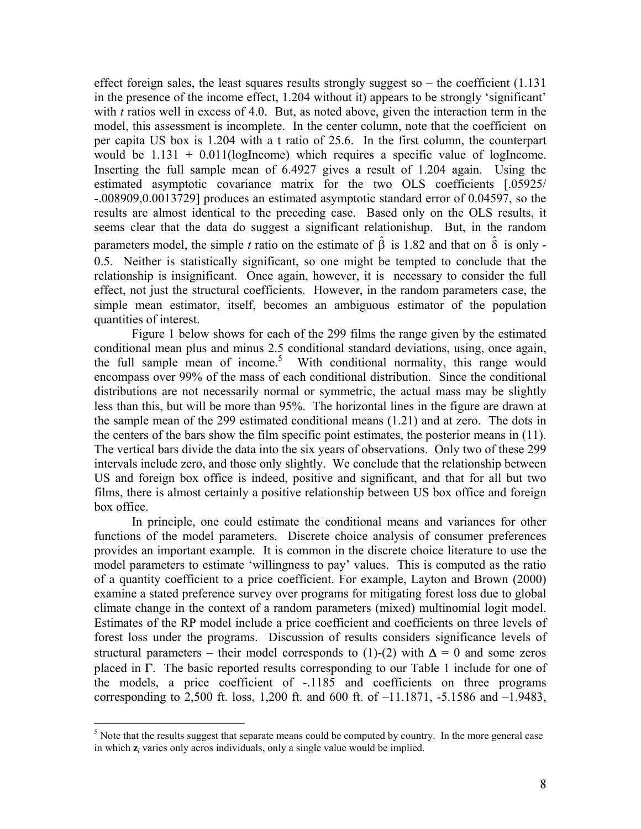effect foreign sales, the least squares results strongly suggest so  $-$  the coefficient  $(1.131)$ in the presence of the income effect, 1.204 without it) appears to be strongly 'significant' with *t* ratios well in excess of 4.0. But, as noted above, given the interaction term in the model, this assessment is incomplete. In the center column, note that the coefficient on per capita US box is 1.204 with a t ratio of 25.6. In the first column, the counterpart would be  $1.131 + 0.011$ (logIncome) which requires a specific value of logIncome. Inserting the full sample mean of 6.4927 gives a result of 1.204 again. Using the estimated asymptotic covariance matrix for the two OLS coefficients [.05925/ -.008909,0.0013729] produces an estimated asymptotic standard error of 0.04597, so the results are almost identical to the preceding case. Based only on the OLS results, it seems clear that the data do suggest a significant relationishup. But, in the random parameters model, the simple *t* ratio on the estimate of  $\hat{\beta}$  is 1.82 and that on  $\hat{\delta}$  is only -0.5. Neither is statistically significant, so one might be tempted to conclude that the relationship is insignificant. Once again, however, it is necessary to consider the full effect, not just the structural coefficients. However, in the random parameters case, the simple mean estimator, itself, becomes an ambiguous estimator of the population quantities of interest.

Figure 1 below shows for each of the 299 films the range given by the estimated conditional mean plus and minus 2.5 conditional standard deviations, using, once again, the full sample mean of income. [5](#page-7-0) With conditional normality, this range would encompass over 99% of the mass of each conditional distribution. Since the conditional distributions are not necessarily normal or symmetric, the actual mass may be slightly less than this, but will be more than 95%. The horizontal lines in the figure are drawn at the sample mean of the 299 estimated conditional means (1.21) and at zero. The dots in the centers of the bars show the film specific point estimates, the posterior means in (11). The vertical bars divide the data into the six years of observations. Only two of these 299 intervals include zero, and those only slightly. We conclude that the relationship between US and foreign box office is indeed, positive and significant, and that for all but two films, there is almost certainly a positive relationship between US box office and foreign box office.

In principle, one could estimate the conditional means and variances for other functions of the model parameters. Discrete choice analysis of consumer preferences provides an important example. It is common in the discrete choice literature to use the model parameters to estimate 'willingness to pay' values. This is computed as the ratio of a quantity coefficient to a price coefficient. For example, Layton and Brown (2000) examine a stated preference survey over programs for mitigating forest loss due to global climate change in the context of a random parameters (mixed) multinomial logit model. Estimates of the RP model include a price coefficient and coefficients on three levels of forest loss under the programs. Discussion of results considers significance levels of structural parameters – their model corresponds to (1)-(2) with  $\Delta = 0$  and some zeros placed in  $\Gamma$ . The basic reported results corresponding to our Table 1 include for one of the models, a price coefficient of -.1185 and coefficients on three programs corresponding to 2,500 ft. loss, 1,200 ft. and 600 ft. of –11.1871, -5.1586 and –1.9483,

<span id="page-7-0"></span> $\frac{1}{5}$  $<sup>5</sup>$  Note that the results suggest that separate means could be computed by country. In the more general case</sup> in which **z***i* varies only acros individuals, only a single value would be implied.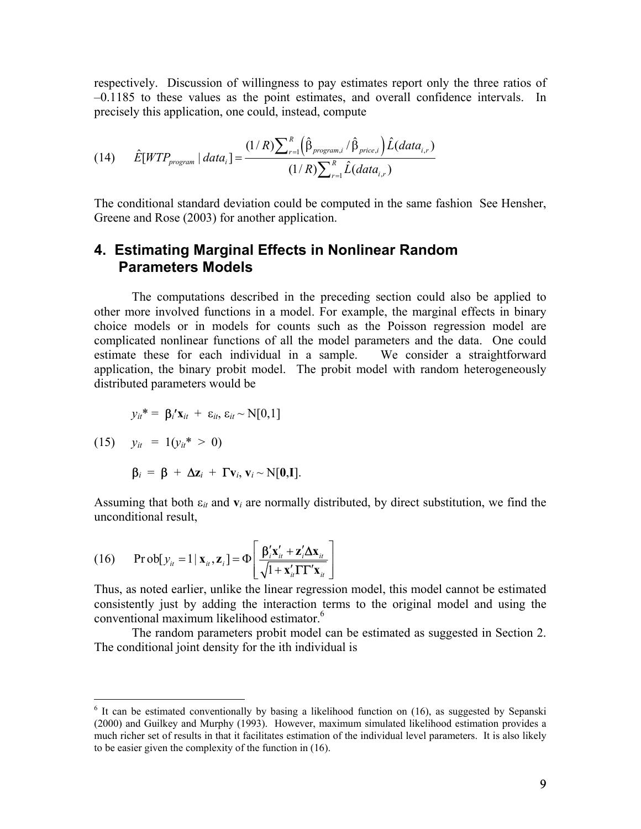respectively. Discussion of willingness to pay estimates report only the three ratios of –0.1185 to these values as the point estimates, and overall confidence intervals. In precisely this application, one could, instead, compute

(14) 
$$
\hat{E}[WTP_{program} | data_{i}] = \frac{(1/R)\sum_{r=1}^{R} (\hat{\beta}_{program,i} / \hat{\beta}_{price,i}) \hat{L}(data_{i,r})}{(1/R)\sum_{r=1}^{R} \hat{L}(data_{i,r})}
$$

The conditional standard deviation could be computed in the same fashion See Hensher, Greene and Rose (2003) for another application.

## **4. Estimating Marginal Effects in Nonlinear Random Parameters Models**

The computations described in the preceding section could also be applied to other more involved functions in a model. For example, the marginal effects in binary choice models or in models for counts such as the Poisson regression model are complicated nonlinear functions of all the model parameters and the data. One could estimate these for each individual in a sample. We consider a straightforward application, the binary probit model. The probit model with random heterogeneously distributed parameters would be

$$
y_{it}^* = \beta_i' \mathbf{x}_{it} + \varepsilon_{it}, \varepsilon_{it} \sim N[0,1]
$$

 $(15)$   $y_{it} = 1(y_{it}^* > 0)$ 

$$
\beta_i = \beta + \Delta z_i + \Gamma v_i, v_i \sim N[0,1].
$$

Assuming that both  $\varepsilon_{it}$  and  $v_i$  are normally distributed, by direct substitution, we find the unconditional result,

(16) 
$$
\Pr \text{obj}[y_{it} = 1 | \mathbf{x}_{it}, \mathbf{z}_{i}] = \Phi \left[ \frac{\beta_{i}' \mathbf{x}_{it}' + \mathbf{z}_{i}' \Delta \mathbf{x}_{it}}{\sqrt{1 + \mathbf{x}_{it}' \Gamma \Gamma' \mathbf{x}_{it}}} \right]
$$

Thus, as noted earlier, unlike the linear regression model, this model cannot be estimated consistently just by adding the interaction terms to the original model and using the conventional maximum likelihood estimator[.6](#page-8-0)

The random parameters probit model can be estimated as suggested in Section 2. The conditional joint density for the ith individual is

<span id="page-8-0"></span><sup>&</sup>lt;sup>6</sup> It can be estimated conventionally by basing a likelihood function on (16), as suggested by Sepanski (2000) and Guilkey and Murphy (1993). However, maximum simulated likelihood estimation provides a much richer set of results in that it facilitates estimation of the individual level parameters. It is also likely to be easier given the complexity of the function in (16).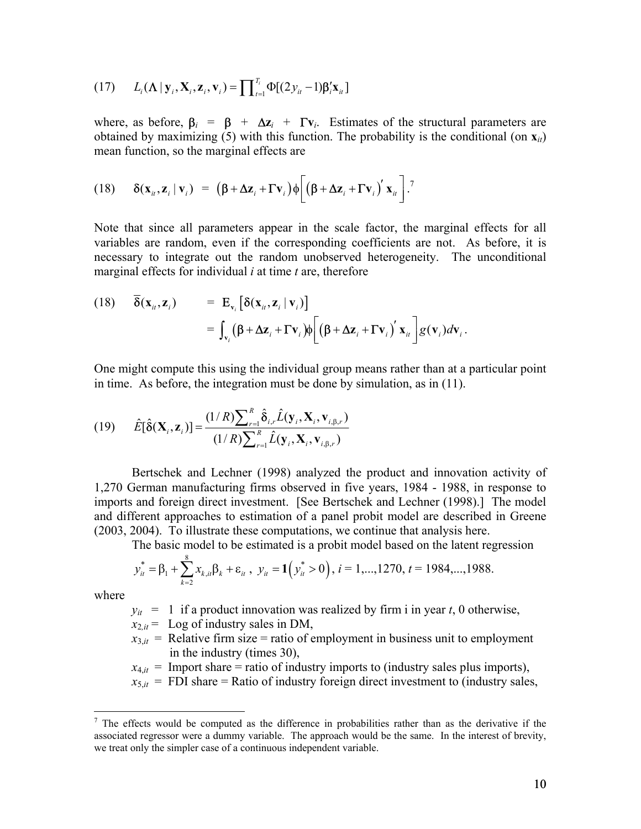$$
(17) \qquad L_i(\mathbf{\Lambda} \mid \mathbf{y}_i, \mathbf{X}_i, \mathbf{z}_i, \mathbf{v}_i) = \prod_{t=1}^{T_i} \Phi[(2y_{it} - 1)\mathbf{\beta}_i'\mathbf{x}_{it}]
$$

where, as before,  $\beta_i = \beta + \Delta z_i + \Gamma v_i$ . Estimates of the structural parameters are obtained by maximizing (5) with this function. The probability is the conditional (on **x***it*) mean function, so the marginal effects are

(18) 
$$
\delta(\mathbf{x}_{it}, \mathbf{z}_{i} | \mathbf{v}_{i}) = (\beta + \Delta \mathbf{z}_{i} + \Gamma \mathbf{v}_{i}) \phi \left[ (\beta + \Delta \mathbf{z}_{i} + \Gamma \mathbf{v}_{i})^{'} \mathbf{x}_{it} \right]^{T}
$$

Note that since all parameters appear in the scale factor, the marginal effects for all variables are random, even if the corresponding coefficients are not. As before, it is necessary to integrate out the random unobserved heterogeneity. The unconditional marginal effects for individual *i* at time *t* are, therefore

(18) 
$$
\overline{\delta}(\mathbf{x}_{i}, \mathbf{z}_{i}) = \mathbf{E}_{\mathbf{v}_{i}} [\delta(\mathbf{x}_{i}, \mathbf{z}_{i} | \mathbf{v}_{i})]
$$
  
= 
$$
\int_{\mathbf{v}_{i}} (\beta + \Delta \mathbf{z}_{i} + \Gamma \mathbf{v}_{i}) \phi \left[ (\beta + \Delta \mathbf{z}_{i} + \Gamma \mathbf{v}_{i})' \mathbf{x}_{i} \right] g(\mathbf{v}_{i}) d\mathbf{v}_{i}.
$$

One might compute this using the individual group means rather than at a particular point in time. As before, the integration must be done by simulation, as in (11).

(19) 
$$
\hat{E}[\hat{\delta}(\mathbf{X}_{i}, \mathbf{z}_{i})] = \frac{(1/R)\sum_{r=1}^{R} \hat{\delta}_{i,r} \hat{L}(\mathbf{y}_{i}, \mathbf{X}_{i}, \mathbf{v}_{i,\beta,r})}{(1/R)\sum_{r=1}^{R} \hat{L}(\mathbf{y}_{i}, \mathbf{X}_{i}, \mathbf{v}_{i,\beta,r})}
$$

Bertschek and Lechner (1998) analyzed the product and innovation activity of 1,270 German manufacturing firms observed in five years, 1984 - 1988, in response to imports and foreign direct investment. [See Bertschek and Lechner (1998).] The model and different approaches to estimation of a panel probit model are described in Greene (2003, 2004). To illustrate these computations, we continue that analysis here.

The basic model to be estimated is a probit model based on the latent regression

$$
y_{it}^* = \beta_1 + \sum_{k=2}^8 x_{k,it} \beta_k + \varepsilon_{it}, \ y_{it} = 1(y_{it}^* > 0), i = 1,...,1270, t = 1984,...,1988.
$$

where

1

 $y_{it}$  = 1 if a product innovation was realized by firm i in year *t*, 0 otherwise,

- $x_{2it}$  = Log of industry sales in DM,
- $x_{3,i}$  = Relative firm size = ratio of employment in business unit to employment in the industry (times 30),

 $x_{4,i}$  = Import share = ratio of industry imports to (industry sales plus imports),

 $x_{5,i}$  = FDI share = Ratio of industry foreign direct investment to (industry sales,

<span id="page-9-0"></span> $<sup>7</sup>$  The effects would be computed as the difference in probabilities rather than as the derivative if the</sup> associated regressor were a dummy variable. The approach would be the same. In the interest of brevity, we treat only the simpler case of a continuous independent variable.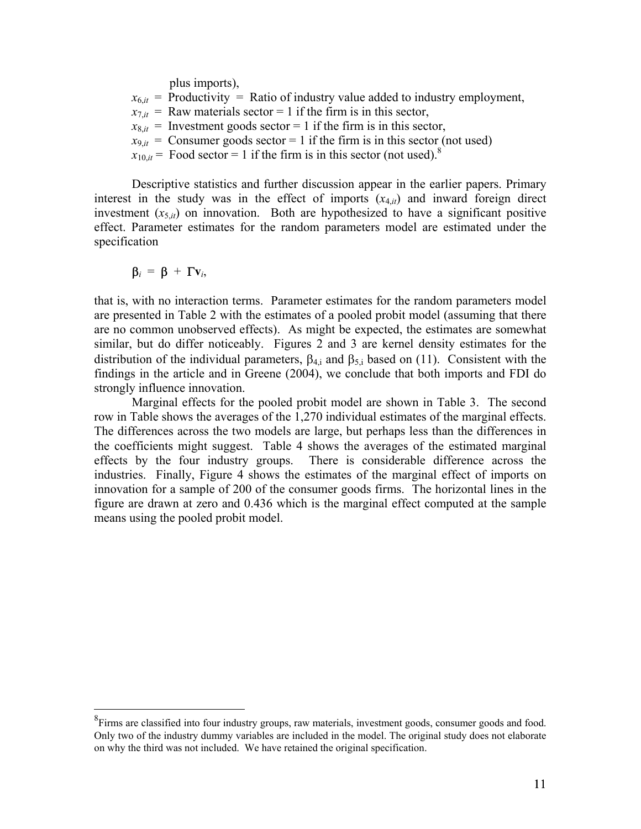plus imports),

 $x_{6,i}$  = Productivity = Ratio of industry value added to industry employment,  $x_{7,i}$  = Raw materials sector = 1 if the firm is in this sector,  $x_{8,i}$  = Investment goods sector = 1 if the firm is in this sector,  $x_{9,i}$  = Consumer goods sector = 1 if the firm is in this sector (not used)

 $x_{10,i}$  = Food sector = 1 if the firm is in this sector (not used).<sup>[8](#page-10-0)</sup>

Descriptive statistics and further discussion appear in the earlier papers. Primary interest in the study was in the effect of imports  $(x_{4,i})$  and inward foreign direct investment  $(x_{5,i})$  on innovation. Both are hypothesized to have a significant positive effect. Parameter estimates for the random parameters model are estimated under the specification

$$
\beta_i = \beta + \Gamma v_i,
$$

that is, with no interaction terms. Parameter estimates for the random parameters model are presented in Table 2 with the estimates of a pooled probit model (assuming that there are no common unobserved effects). As might be expected, the estimates are somewhat similar, but do differ noticeably. Figures 2 and 3 are kernel density estimates for the distribution of the individual parameters,  $\beta_{4,i}$  and  $\beta_{5,i}$  based on (11). Consistent with the findings in the article and in Greene (2004), we conclude that both imports and FDI do strongly influence innovation.

Marginal effects for the pooled probit model are shown in Table 3. The second row in Table shows the averages of the 1,270 individual estimates of the marginal effects. The differences across the two models are large, but perhaps less than the differences in the coefficients might suggest. Table 4 shows the averages of the estimated marginal effects by the four industry groups. There is considerable difference across the industries. Finally, Figure 4 shows the estimates of the marginal effect of imports on innovation for a sample of 200 of the consumer goods firms. The horizontal lines in the figure are drawn at zero and 0.436 which is the marginal effect computed at the sample means using the pooled probit model.

<span id="page-10-0"></span><sup>&</sup>lt;sup>8</sup>Firms are classified into four industry groups, raw materials, investment goods, consumer goods and food. Only two of the industry dummy variables are included in the model. The original study does not elaborate on why the third was not included. We have retained the original specification.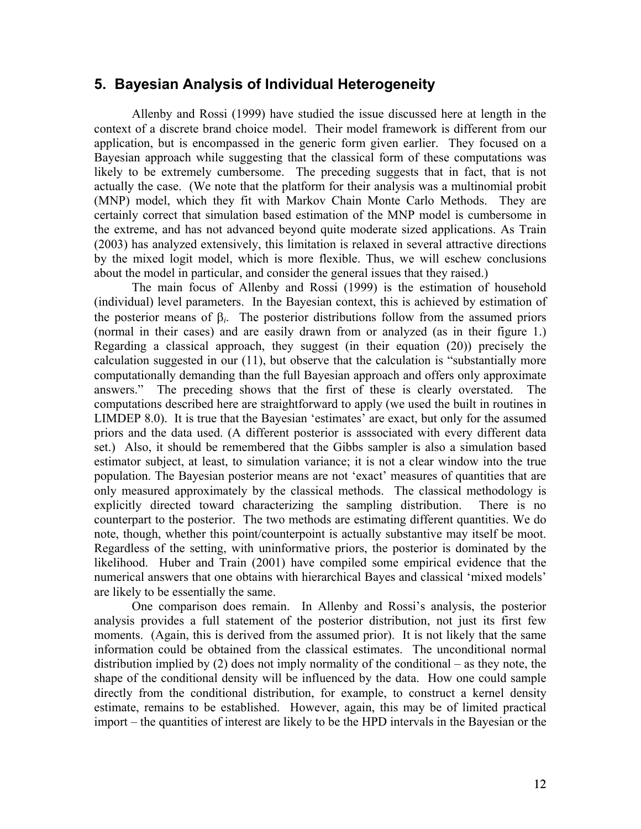## **5. Bayesian Analysis of Individual Heterogeneity**

Allenby and Rossi (1999) have studied the issue discussed here at length in the context of a discrete brand choice model. Their model framework is different from our application, but is encompassed in the generic form given earlier. They focused on a Bayesian approach while suggesting that the classical form of these computations was likely to be extremely cumbersome. The preceding suggests that in fact, that is not actually the case. (We note that the platform for their analysis was a multinomial probit (MNP) model, which they fit with Markov Chain Monte Carlo Methods. They are certainly correct that simulation based estimation of the MNP model is cumbersome in the extreme, and has not advanced beyond quite moderate sized applications. As Train (2003) has analyzed extensively, this limitation is relaxed in several attractive directions by the mixed logit model, which is more flexible. Thus, we will eschew conclusions about the model in particular, and consider the general issues that they raised.)

The main focus of Allenby and Rossi (1999) is the estimation of household (individual) level parameters. In the Bayesian context, this is achieved by estimation of the posterior means of  $β<sub>i</sub>$ . The posterior distributions follow from the assumed priors (normal in their cases) and are easily drawn from or analyzed (as in their figure 1.) Regarding a classical approach, they suggest (in their equation (20)) precisely the calculation suggested in our (11), but observe that the calculation is "substantially more computationally demanding than the full Bayesian approach and offers only approximate answers." The preceding shows that the first of these is clearly overstated. The computations described here are straightforward to apply (we used the built in routines in LIMDEP 8.0). It is true that the Bayesian 'estimates' are exact, but only for the assumed priors and the data used. (A different posterior is asssociated with every different data set.) Also, it should be remembered that the Gibbs sampler is also a simulation based estimator subject, at least, to simulation variance; it is not a clear window into the true population. The Bayesian posterior means are not 'exact' measures of quantities that are only measured approximately by the classical methods. The classical methodology is explicitly directed toward characterizing the sampling distribution. There is no counterpart to the posterior. The two methods are estimating different quantities. We do note, though, whether this point/counterpoint is actually substantive may itself be moot. Regardless of the setting, with uninformative priors, the posterior is dominated by the likelihood. Huber and Train (2001) have compiled some empirical evidence that the numerical answers that one obtains with hierarchical Bayes and classical 'mixed models' are likely to be essentially the same.

One comparison does remain. In Allenby and Rossi's analysis, the posterior analysis provides a full statement of the posterior distribution, not just its first few moments. (Again, this is derived from the assumed prior). It is not likely that the same information could be obtained from the classical estimates. The unconditional normal distribution implied by (2) does not imply normality of the conditional – as they note, the shape of the conditional density will be influenced by the data. How one could sample directly from the conditional distribution, for example, to construct a kernel density estimate, remains to be established. However, again, this may be of limited practical import – the quantities of interest are likely to be the HPD intervals in the Bayesian or the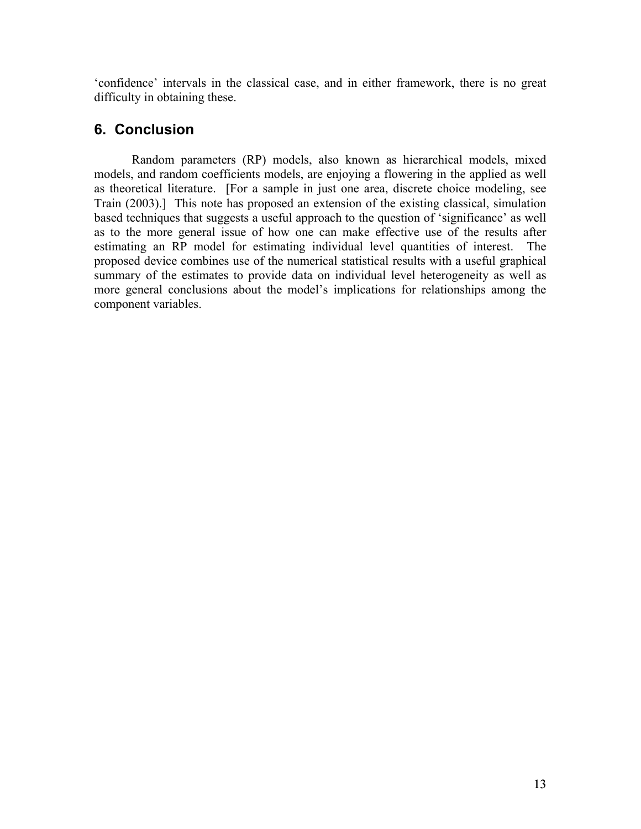'confidence' intervals in the classical case, and in either framework, there is no great difficulty in obtaining these.

# **6. Conclusion**

Random parameters (RP) models, also known as hierarchical models, mixed models, and random coefficients models, are enjoying a flowering in the applied as well as theoretical literature. [For a sample in just one area, discrete choice modeling, see Train (2003).] This note has proposed an extension of the existing classical, simulation based techniques that suggests a useful approach to the question of 'significance' as well as to the more general issue of how one can make effective use of the results after estimating an RP model for estimating individual level quantities of interest. The proposed device combines use of the numerical statistical results with a useful graphical summary of the estimates to provide data on individual level heterogeneity as well as more general conclusions about the model's implications for relationships among the component variables.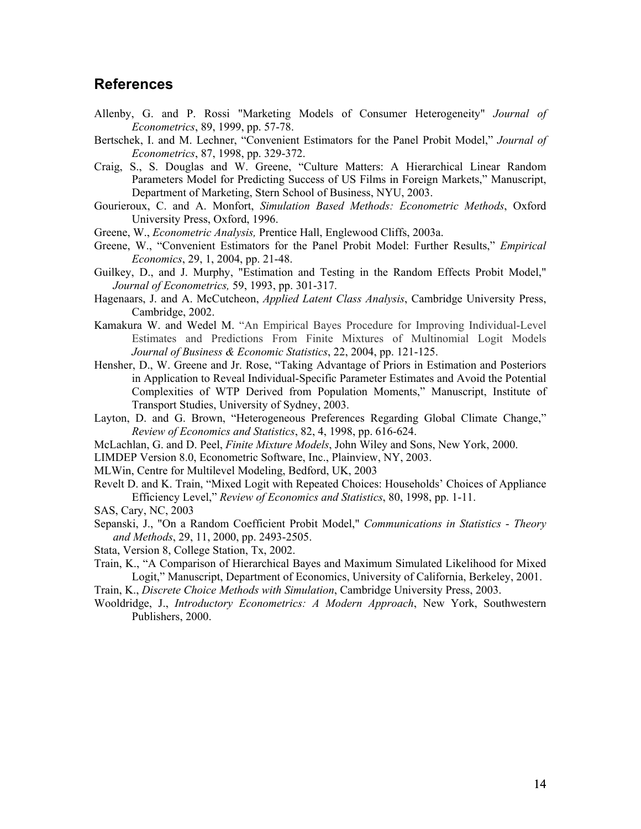### **References**

- Allenby, G. and P. Rossi "Marketing Models of Consumer Heterogeneity" *Journal of Econometrics*, 89, 1999, pp. 57-78.
- Bertschek, I. and M. Lechner, "Convenient Estimators for the Panel Probit Model," *Journal of Econometrics*, 87, 1998, pp. 329-372.
- Craig, S., S. Douglas and W. Greene, "Culture Matters: A Hierarchical Linear Random Parameters Model for Predicting Success of US Films in Foreign Markets," Manuscript, Department of Marketing, Stern School of Business, NYU, 2003.
- Gourieroux, C. and A. Monfort, *Simulation Based Methods: Econometric Methods*, Oxford University Press, Oxford, 1996.
- Greene, W., *Econometric Analysis,* Prentice Hall, Englewood Cliffs, 2003a.
- Greene, W., "Convenient Estimators for the Panel Probit Model: Further Results," *Empirical Economics*, 29, 1, 2004, pp. 21-48.
- Guilkey, D., and J. Murphy, "Estimation and Testing in the Random Effects Probit Model," *Journal of Econometrics,* 59, 1993, pp. 301-317.
- Hagenaars, J. and A. McCutcheon, *Applied Latent Class Analysis*, Cambridge University Press, Cambridge, 2002.
- Kamakura W. and Wedel M. "An Empirical Bayes Procedure for Improving Individual-Level Estimates and Predictions From Finite Mixtures of Multinomial Logit Models *Journal of Business & Economic Statistics*, 22, 2004, pp. 121-125.
- Hensher, D., W. Greene and Jr. Rose, "Taking Advantage of Priors in Estimation and Posteriors in Application to Reveal Individual-Specific Parameter Estimates and Avoid the Potential Complexities of WTP Derived from Population Moments," Manuscript, Institute of Transport Studies, University of Sydney, 2003.
- Layton, D. and G. Brown, "Heterogeneous Preferences Regarding Global Climate Change," *Review of Economics and Statistics*, 82, 4, 1998, pp. 616-624.
- McLachlan, G. and D. Peel, *Finite Mixture Models*, John Wiley and Sons, New York, 2000.
- LIMDEP Version 8.0, Econometric Software, Inc., Plainview, NY, 2003.
- MLWin, Centre for Multilevel Modeling, Bedford, UK, 2003
- Revelt D. and K. Train, "Mixed Logit with Repeated Choices: Households' Choices of Appliance Efficiency Level," *Review of Economics and Statistics*, 80, 1998, pp. 1-11.
- SAS, Cary, NC, 2003
- Sepanski, J., "On a Random Coefficient Probit Model," *Communications in Statistics Theory and Methods*, 29, 11, 2000, pp. 2493-2505.
- Stata, Version 8, College Station, Tx, 2002.
- Train, K., "A Comparison of Hierarchical Bayes and Maximum Simulated Likelihood for Mixed Logit," Manuscript, Department of Economics, University of California, Berkeley, 2001.
- Train, K., *Discrete Choice Methods with Simulation*, Cambridge University Press, 2003.
- Wooldridge, J., *Introductory Econometrics: A Modern Approach*, New York, Southwestern Publishers, 2000.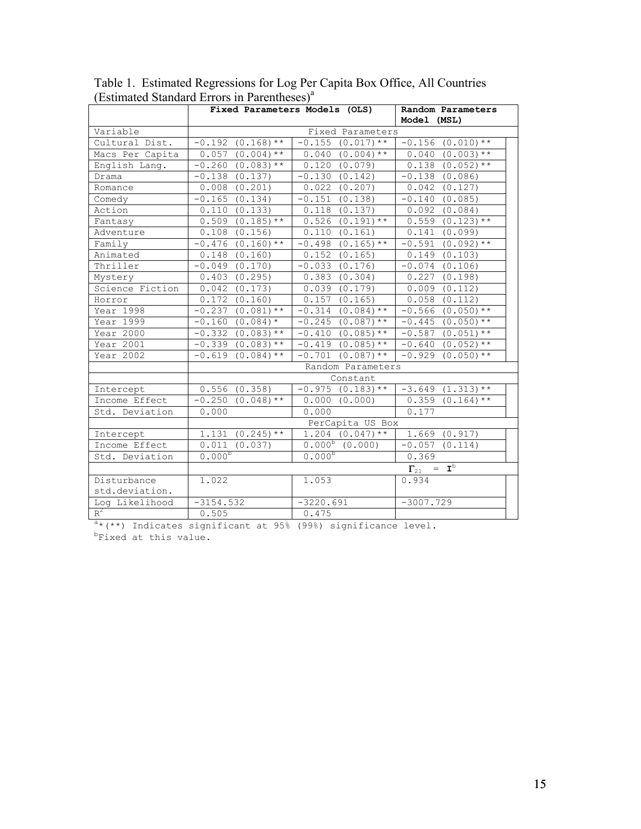|                 |                                                      | Fixed Parameters Models (OLS) | Random Parameters<br>Model (MSL) |  |  |  |  |
|-----------------|------------------------------------------------------|-------------------------------|----------------------------------|--|--|--|--|
| Variable        |                                                      | Fixed Parameters              |                                  |  |  |  |  |
| Cultural Dist.  | $-0.192$ $(0.168)$ **                                | $-0.155$ $(0.017)$ **         | $-0.156$ $(0.010)**$             |  |  |  |  |
| Macs Per Capita | $0.057$ $(0.004)$ **                                 | $0.040$ $(0.004)**$           | $0.040$ $(0.003)**$              |  |  |  |  |
| English Lang.   | $-0.260$ $(0.083)$ **                                | 0.120(0.079)                  | $0.138$ $(0.052)**$              |  |  |  |  |
| Drama           | $-0.138$ $(0.137)$                                   | $-0.130(0.142)$               | $-0.138$ $(0.086)$               |  |  |  |  |
| Romance         | $0.008$ $(0.201)$                                    | $0.022$ $(0.207)$             | $0.042$ $(0.127)$                |  |  |  |  |
| Comedy          | $-0.165$ $(0.134)$                                   | $-0.151$ $(0.138)$            | $-0.140(0.085)$                  |  |  |  |  |
| Action          | 0.110 (0.133)                                        | $0.118$ $(0.137)$             | $0.092$ $(0.084)$                |  |  |  |  |
| Fantasy         | $0.509$ $(0.185)$ **                                 | $0.526$ $(0.191)$ **          | $0.559$ $(0.123)**$              |  |  |  |  |
| Adventure       | $0.108$ $(0.156)$                                    | 0.110 (0.161)                 | 0.141 (0.099)                    |  |  |  |  |
| Family          | $-0.476$ $(0.160)**$                                 | $-0.498$ $(0.165)$ **         | $-0.591$ $(0.092)$ **            |  |  |  |  |
| Animated        | 0.148<br>(0.160)                                     | $0.152$ $(0.165)$             | 0.149(0.103)                     |  |  |  |  |
| Thriller        | $-0.049(0.170)$                                      | $-0.033$ $(0.176)$            | $-0.074$ $(0.106)$               |  |  |  |  |
| Mystery         | $0.403$ $(0.295)$                                    | $0.383$ $(0.304)$             | $0.227$ $(0.198)$                |  |  |  |  |
| Science Fiction | $0.042$ $(0.173)$                                    | 0.039(0.179)                  | $0.009$ $(0.112)$                |  |  |  |  |
| Horror          | 0.172(0.160)                                         | $0.157$ $(0.165)$             | $0.058$ $(0.112)$                |  |  |  |  |
| Year 1998       | $-0.237$ $(0.081)$ **                                | $-0.314$ $(0.084)$ **         | $-0.566$ $(0.050)**$             |  |  |  |  |
| Year 1999       | $-0.160$ $(0.084)$ *                                 | $-0.245$ (0.087) **           | $-0.445$ $(0.050)**$             |  |  |  |  |
| Year 2000       | $-0.332$ $(0.083)$ **                                | $-0.410$ $(0.085)**$          | $-0.587$ $(0.051)$ **            |  |  |  |  |
| Year 2001       | $-0.339$ $(0.083)$ **                                | $-0.419$ $(0.085)$ **         | $-0.640$ $(0.052)**$             |  |  |  |  |
| Year 2002       | $-0.619(0.084)$ **                                   | $-0.701$ $(0.087)$ **         | $-0.929$ $(0.050)**$             |  |  |  |  |
|                 | Random Parameters                                    |                               |                                  |  |  |  |  |
|                 |                                                      | Constant                      |                                  |  |  |  |  |
| Intercept       | 0.556(0.358)                                         | $-0.975$ $(0.183)$ **         | $-3.649$ $(1.313)$ **            |  |  |  |  |
| Income Effect   | $-0.250$ $(0.048)$ **                                | 0.000 (0.000)                 | $0.359$ $(0.164)$ **             |  |  |  |  |
| Std. Deviation  | 0.000                                                | 0.000                         | 0.177                            |  |  |  |  |
|                 |                                                      | PerCapita US Box              |                                  |  |  |  |  |
| Intercept       | $1.131 (0.245)$ **                                   | $1.204$ $(0.047)**$           | 1.669(0.917)                     |  |  |  |  |
| Income Effect   | 0.011<br>(0.037)                                     | $0.000^{b}$ (0.000)           | $-0.057$ $(0.114)$               |  |  |  |  |
| Std. Deviation  | $0.000^{b}$                                          | $0.000^{b}$                   | 0.369                            |  |  |  |  |
|                 | $\Gamma_{21}$ = $\overline{\mathbf{I}^{\mathbf{b}}}$ |                               |                                  |  |  |  |  |
| Disturbance     | 1.022                                                | 1.053                         | 0.934                            |  |  |  |  |
| std.deviation.  |                                                      |                               |                                  |  |  |  |  |
| Log Likelihood  | $-3154.532$                                          | $-3220.691$                   | $-3007.729$                      |  |  |  |  |
| $R^2$           | 0.505                                                | 0.475                         |                                  |  |  |  |  |

Table 1. Estimated Regressions for Log Per Capita Box Office, All Countries (Estimated Standard Errors in Parentheses)<sup>a</sup>

R<sup>2</sup> 0.505 0.475 1<br><sup>a\*</sup> (\*\*) Indicates significant at 95% (99%) significance level.<br><sup>b</sup>Fixed at this value.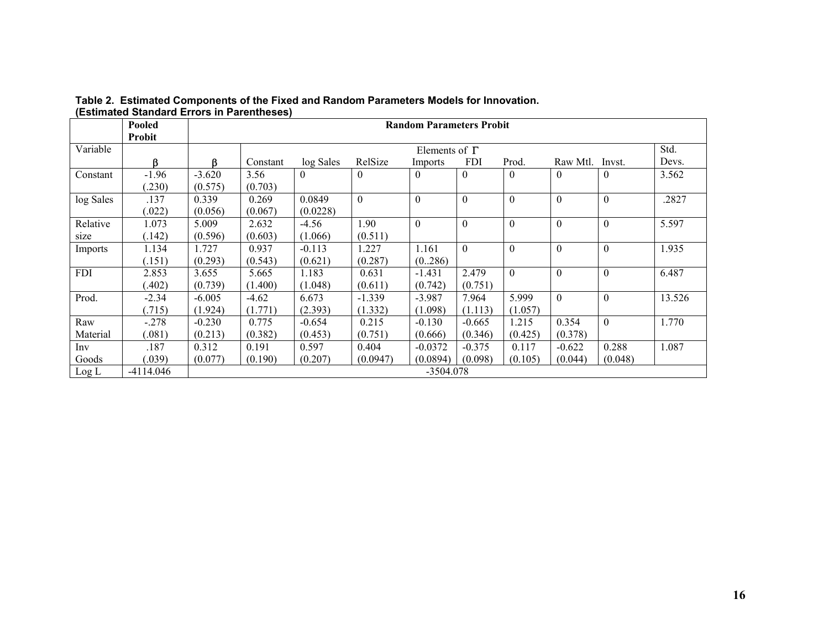| ESUMated Standard Errors III Farentheses) |               |                                 |                              |           |          |           |            |                  |          |          |        |
|-------------------------------------------|---------------|---------------------------------|------------------------------|-----------|----------|-----------|------------|------------------|----------|----------|--------|
|                                           | Pooled        | <b>Random Parameters Probit</b> |                              |           |          |           |            |                  |          |          |        |
|                                           | <b>Probit</b> |                                 |                              |           |          |           |            |                  |          |          |        |
| Variable                                  |               |                                 | Std.<br>Elements of $\Gamma$ |           |          |           |            |                  |          |          |        |
|                                           | ß             | ß                               | Constant                     | log Sales | RelSize  | Imports   | <b>FDI</b> | Prod.            | Raw Mtl. | Invst.   | Devs.  |
| Constant                                  | $-1.96$       | $-3.620$                        | 3.56                         | $\Omega$  | $\theta$ | $\theta$  | $\theta$   | $\boldsymbol{0}$ | $\Omega$ | 0        | 3.562  |
|                                           | .230)         | (0.575)                         | (0.703)                      |           |          |           |            |                  |          |          |        |
| log Sales                                 | .137          | 0.339                           | 0.269                        | 0.0849    | $\theta$ | $\theta$  | $\theta$   | $\theta$         | $\theta$ | $\Omega$ | .2827  |
|                                           | .022)         | (0.056)                         | (0.067)                      | (0.0228)  |          |           |            |                  |          |          |        |
| Relative                                  | 1.073         | 5.009                           | 2.632                        | $-4.56$   | 1.90     | $\Omega$  | $\theta$   | $\theta$         | $\theta$ | $\theta$ | 5.597  |
| size                                      | (.142)        | (0.596)                         | (0.603)                      | (1.066)   | (0.511)  |           |            |                  |          |          |        |
| Imports                                   | 1.134         | 1.727                           | 0.937                        | $-0.113$  | 1.227    | 1.161     | $\Omega$   | $\theta$         | $\theta$ | $\theta$ | 1.935  |
|                                           | (.151)        | (0.293)                         | (0.543)                      | (0.621)   | (0.287)  | (0.286)   |            |                  |          |          |        |
| <b>FDI</b>                                | 2.853         | 3.655                           | 5.665                        | 1.183     | 0.631    | $-1.431$  | 2.479      | $\theta$         | $\theta$ | $\theta$ | 6.487  |
|                                           | .402)         | (0.739)                         | (1.400)                      | (1.048)   | (0.611)  | (0.742)   | (0.751)    |                  |          |          |        |
| Prod.                                     | $-2.34$       | $-6.005$                        | $-4.62$                      | 6.673     | $-1.339$ | $-3.987$  | 7.964      | 5.999            | $\Omega$ | $\theta$ | 13.526 |
|                                           | (.715)        | (1.924)                         | (1.771)                      | (2.393)   | (1.332)  | (1.098)   | (1.113)    | (1.057)          |          |          |        |
| Raw                                       | $-.278$       | $-0.230$                        | 0.775                        | $-0.654$  | 0.215    | $-0.130$  | $-0.665$   | 1.215            | 0.354    | $\Omega$ | 1.770  |
| Material                                  | (.081)        | (0.213)                         | (0.382)                      | (0.453)   | (0.751)  | (0.666)   | (0.346)    | (0.425)          | (0.378)  |          |        |
| Inv                                       | .187          | 0.312                           | 0.191                        | 0.597     | 0.404    | $-0.0372$ | $-0.375$   | 0.117            | $-0.622$ | 0.288    | 1.087  |
| Goods                                     | (.039)        | (0.077)                         | (0.190)                      | (0.207)   | (0.0947) | (0.0894)  | (0.098)    | (0.105)          | (0.044)  | (0.048)  |        |
| Log L                                     | $-4114.046$   | $-3504.078$                     |                              |           |          |           |            |                  |          |          |        |

**Table 2. Estimated Components of the Fixed and Random Parameters Models for Innovation. (Estimated Standard Errors in Parentheses)**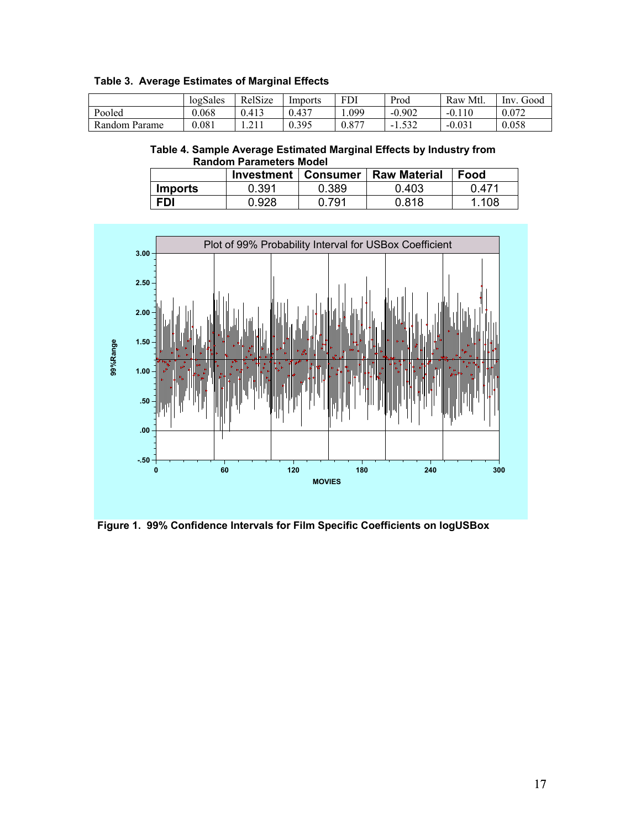| <b>Table 3. Average Estimates of Marginal Effects</b> |  |  |  |  |  |
|-------------------------------------------------------|--|--|--|--|--|
|-------------------------------------------------------|--|--|--|--|--|

|               | logSales | RelSize | Imports | <b>FDI</b> | Prod     | Mtl.<br>Raw  | Good<br>1nv |
|---------------|----------|---------|---------|------------|----------|--------------|-------------|
| Pooled        | 0.068    | 0.413   | 0.437   | .099       | $-0.902$ | 10<br>$-0.1$ | 0.072       |
| Random Parame | 0.081    |         | 0.395   | $0.87^{-}$ |          | $-0.031$     | 0.058       |

 **Table 4. Sample Average Estimated Marginal Effects by Industry from Random Parameters Model** 

|                | Investment   Consumer |       | <b>Raw Material</b> | Food  |
|----------------|-----------------------|-------|---------------------|-------|
| <b>Imports</b> | 0.391                 | 0.389 | 0.403               | በ 471 |
| <b>FDI</b>     | 0.928                 | .791  | 0.818               | 1.108 |



**Figure 1. 99% Confidence Intervals for Film Specific Coefficients on logUSBox**